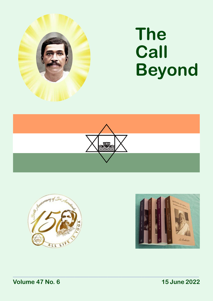

# **The** Call **Beyond**







Volume 47 No. 6

**15 June 2022**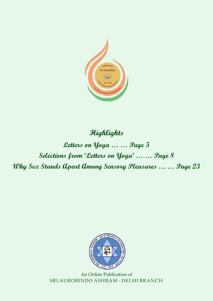

# **Highlights Letters on Yoga … … Page 5 Selections from 'Letters on Yoga' … … Page 8 Why Sex Stands Apart Among Sensory Pleasures … … Page 23**



An Online Publication of SRI AUROBINDO ASHRAM - DELHI BRANCH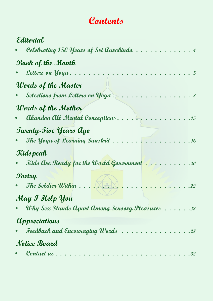# Contents

|           | Editorial                                                |
|-----------|----------------------------------------------------------|
|           | Celebrating 150 Years of Sri Aurobindo                   |
|           | <b>Book of the Month</b>                                 |
|           | Letters on Yoga                                          |
|           | Words of the Master                                      |
|           | Selections from Letters on Yoga.                         |
|           | Words of the Mother                                      |
|           | <b>abandon all Mental Conceptions.</b><br>15             |
|           | Twenty-Five Years ago                                    |
|           | The Yoga of Learning Sanskrit.<br>16                     |
|           | Kidspeak                                                 |
|           | Kids are Ready for the World Government<br>$\ldots$ . 20 |
|           | <b><i><u>Poetry</u></i></b>                              |
|           | The Soldier Within.                                      |
|           | May I Help You                                           |
| $\bullet$ | Why Sex Stands Apart Among Sensory Pleasures 23          |
|           | <i><u><b>Appreciations</b></u></i>                       |
| $\bullet$ | Feedback and Encouraging Words 28                        |
|           | Notice Board                                             |
|           |                                                          |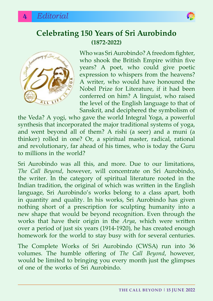

### **Celebrating 150 Years of Sri Aurobindo (1872-2022)**



Who was Sri Aurobindo? A freedom fighter, who shook the British Empire within five years? A poet, who could give poetic expression to whispers from the heavens? A writer, who would have honoured the Nobel Prize for Literature, if it had been conferred on him? A linguist, who raised the level of the English language to that of Sanskrit, and deciphered the symbolism of

the Veda? A yogi, who gave the world Integral Yoga, a powerful synthesis that incorporated the major traditional systems of yoga, and went beyond all of them? A rishi (a seer) and a muni (a thinker) rolled in one? Or, a spiritual master, radical, rational and revolutionary, far ahead of his times, who is today the Guru to millions in the world?

Sri Aurobindo was all this, and more. Due to our limitations, *The Call Beyond*, however, will concentrate on Sri Aurobindo, the writer. In the category of spiritual literature rooted in the Indian tradition, the original of which was written in the English language, Sri Aurobindo's works belong to a class apart, both in quantity and quality. In his works, Sri Aurobindo has given nothing short of a prescription for sculpting humanity into a new shape that would be beyond recognition. Even through the works that have their origin in the *Arya*, which were written over a period of just six years (1914-1920), he has created enough homework for the world to stay busy with for several centuries.

The Complete Works of Sri Aurobindo (CWSA) run into 36 volumes. The humble offering of *The Call Beyond*, however, would be limited to bringing you every month just the glimpses of one of the works of Sri Aurobindo.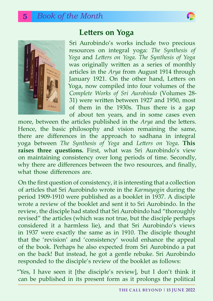



# **Letters on Yoga**

Sri Aurobindo's works include two precious resources on integral yoga: *The Synthesis of Yoga* and *Letters on Yoga*. *The Synthesis of Yoga* was originally written as a series of monthly articles in the *Arya* from August 1914 through January 1921. On the other hand, Letters on Yoga, now compiled into four volumes of the *Complete Works of Sri Aurobindo* (Volumes 28- 31) were written between 1927 and 1950, most of them in the 1930s. Thus there is a gap of about ten years, and in some cases even

more, between the articles published in the *Arya* and the letters. Hence, the basic philosophy and vision remaining the same, there are differences in the approach to sadhana in integral yoga between *The Synthesis of Yoga* and *Letters on Yoga*. **This raises three questions.** First, what was Sri Aurobindo's view on maintaining consistency over long periods of time. Secondly, why there are differences between the two resources, and finally, what those differences are.

On the first question of consistency, it is interesting that a collection of articles that Sri Aurobindo wrote in the *Karmayogin* during the period 1909-1910 were published as a booklet in 1937. A disciple wrote a review of the booklet and sent it to Sri Aurobindo. In the review, the disciple had stated that Sri Aurobindo had "thoroughly revised" the articles (which was not true, but the disciple perhaps considered it a harmless lie), and that Sri Aurobindo's views in 1937 were exactly the same as in 1910. The disciple thought that the 'revision' and 'consistency' would enhance the appeal of the book. Perhaps he also expected from Sri Aurobindo a pat on the back! But instead, he got a gentle rebuke. Sri Aurobindo responded to the disciple's review of the booklet as follows:

"Yes, I have seen it [the disciple's review], but I don't think it can be published in its present form as it prolongs the political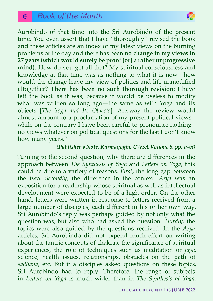

Aurobindo of that time into the Sri Aurobindo of the present time. You even assert that I have "thoroughly" revised the book and these articles are an index of my latest views on the burning problems of the day and there has been **no change in my views in 27 years (which would surely be proof [of] a rather unprogressive mind)**. How do you get all that? My spiritual consciousness and knowledge at that time was as nothing to what it is now—how would the change leave my view of politics and life unmodified altogether? **There has been no such thorough revision**; I have left the book as it was, because it would be useless to modify what was written so long ago—the same as with Yoga and its objects [*The Yoga and Its Objects*]. Anyway the review would almost amount to a proclamation of my present political views while on the contrary I have been careful to pronounce nothing no views whatever on political questions for the last I don't know how many years."

#### *(Publisher's Note, Karmayogin, CWSA Volume 8, pp. v-vi)*

Turning to the second question, why there are differences in the approach between *The Synthesis of Yoga* and *Letters on Yoga*, this could be due to a variety of reasons. *First*, the long gap between the two. *Secondly*, the difference in the context. *Arya* was an exposition for a readership whose spiritual as well as intellectual development were expected to be of a high order. On the other hand, letters were written in response to letters received from a large number of disciples, each different in his or her own way. Sri Aurobindo's reply was perhaps guided by not only what the question was, but also who had asked the question. *Thirdly*, the topics were also guided by the questions received. In the *Arya* articles, Sri Aurobindo did not expend much effort on writing about the tantric concepts of chakras, the significance of spiritual experiences, the role of techniques such as meditation or *japa,*  science, health issues, relationships, obstacles on the path of *sadhana*, etc. But if a disciples asked questions on these topics, Sri Aurobindo had to reply. Therefore, the range of subjects in *Letters on Yoga* is much wider than in *The Synthesis of Yoga*.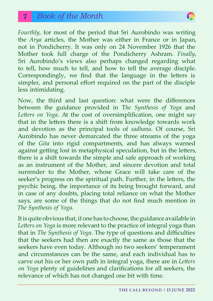### 7 *Book of the Month*



*Fourthly*, for most of the period that Sri Aurobindo was writing the *Arya* articles, the Mother was either in France or in Japan, not in Pondicherry. It was only on 24 November 1926 that the Mother took full charge of the Pondicherry Ashram. *Finally*, Sri Aurobindo's views also perhaps changed regarding what to tell, how much to tell, and how to tell the average disciple. Correspondingly, we find that the language in the letters is simpler, and personal effort required on the part of the disciple less intimidating.

Now, the third and last question: what were the differences between the guidance provided in T*he Synthesis of Yoga* and *Letters on Yoga*. At the cost of oversimplification, one might say that in the letters there is a shift from knowledge towards work and devotion as the principal tools of *sadhana*. Of course, Sri Aurobindo has never demarcated the three streams of the yoga of the *Gita* into rigid compartments, and has always warned against getting lost in metaphysical speculation, but in the letters, there is a shift towards the simple and safe approach of working as an instrument of the Mother, and sincere devotion and total surrender to the Mother, whose Grace will take care of the seeker's progress on the spiritual path. Further, in the letters, the psychic being, the importance of its being brought forward, and in case of any doubts, placing total reliance on what the Mother says, are some of the things that do not find much mention in *The Synthesis of Yoga*.

It is quite obvious that, if one has to choose, the guidance available in *Letters on Yoga* is more relevant to the practice of integral yoga than that in *The Synthesis of Yoga*. The type of questions and difficulties that the seekers had then are exactly the same as those that the seekers have even today. Although no two seekers' temperament and circumstances can be the same, and each individual has to carve out his or her own path in integral yoga, there are in *Letters on Yoga* plenty of guidelines and clarifications for all seekers, the relevance of which has not changed one bit with time.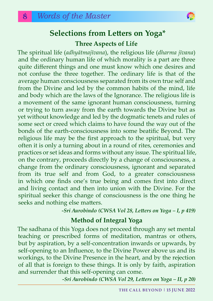

# **Selections from Letters on Yoga\***

#### **Three aspects of life**

The spiritual life (*adhyātmajīvana*), the religious life (*dharma jīvana*) and the ordinary human life of which morality is a part are three quite different things and one must know which one desires and not confuse the three together. The ordinary life is that of the average human consciousness separated from its own true self and from the Divine and led by the common habits of the mind, life and body which are the laws of the Ignorance. The religious life is a movement of the same ignorant human consciousness, turning or trying to turn away from the earth towards the Divine but as yet without knowledge and led by the dogmatic tenets and rules of some sect or creed which claims to have found the way out of the bonds of the earth-consciousness into some beatific Beyond. The religious life may be the first approach to the spiritual, but very often it is only a turning about in a round of rites, ceremonies and practices or set ideas and forms without any issue. The spiritual life, on the contrary, proceeds directly by a change of consciousness, a change from the ordinary consciousness, ignorant and separated from its true self and from God, to a greater consciousness in which one finds one's true being and comes first into direct and living contact and then into union with the Divine. For the spiritual seeker this change of consciousness is the one thing he seeks and nothing else matters.

*-Sri Aurobindo (CWSA Vol 28, Letters on Yoga – I, p 419)*

#### **Method of Integral yoga**

The sadhana of this Yoga does not proceed through any set mental teaching or prescribed forms of meditation, mantras or others, but by aspiration, by a self-concentration inwards or upwards, by self-opening to an Influence, to the Divine Power above us and its workings, to the Divine Presence in the heart, and by the rejection of all that is foreign to these things. It is only by faith, aspiration and surrender that this self-opening can come.

*-Sri Aurobindo (CWSA Vol 29, Letters on Yoga – II, p 20)*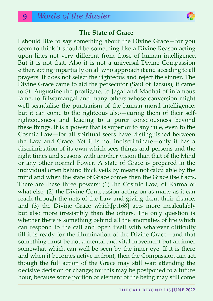

#### **The State of Grace**

I should like to say something about the Divine Grace—for you seem to think it should be something like a Divine Reason acting upon lines not very different from those of human intelligence. But it is not that. Also it is not a universal Divine Compassion either, acting impartially on all who approach it and acceding to all prayers. It does not select the righteous and reject the sinner. The Divine Grace came to aid the persecutor (Saul of Tarsus), it came to St. Augustine the profligate, to Jagai and Madhai of infamous fame, to Bilwamangal and many others whose conversion might well scandalise the puritanism of the human moral intelligence; but it can come to the righteous also—curing them of their selfrighteousness and leading to a purer consciousness beyond these things. It is a power that is superior to any rule, even to the Cosmic Law—for all spiritual seers have distinguished between the Law and Grace. Yet it is not indiscriminate—only it has a discrimination of its own which sees things and persons and the right times and seasons with another vision than that of the Mind or any other normal Power. A state of Grace is prepared in the individual often behind thick veils by means not calculable by the mind and when the state of Grace comes then the Grace itself acts. There are these three powers: (1) the Cosmic Law, of Karma or what else; (2) the Divine Compassion acting on as many as it can reach through the nets of the Law and giving them their chance; and (3) the Divine Grace which[p.168] acts more incalculably but also more irresistibly than the others. The only question is whether there is something behind all the anomalies of life which can respond to the call and open itself with whatever difficulty till it is ready for the illumination of the Divine Grace—and that something must be not a mental and vital movement but an inner somewhat which can well be seen by the inner eye. If it is there and when it becomes active in front, then the Compassion can act, though the full action of the Grace may still wait attending the decisive decision or change; for this may be postponed to a future hour, because some portion or element of the being may still come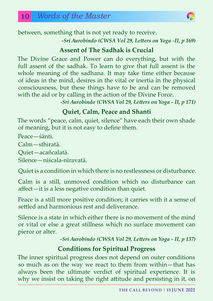

between, something that is not yet ready to receive.

*-Sri Aurobindo (CWSA Vol 29, Letters on Yoga -II, p 169)*

#### **assent of The Sadhak is Crucial**

The Divine Grace and Power can do everything, but with the full assent of the sadhak. To learn to give that full assent is the whole meaning of the sadhana. It may take time either because of ideas in the mind, desires in the vital or inertia in the physical consciousness, but these things have to be and can be removed with the aid or by calling in the action of the Divine Force.

*-Sri Aurobindo (CWSA Vol 29, Letters on Yoga - II, p 171)*

#### **Quiet, Calm, Peace and Shanti**

The words "peace, calm, quiet, silence" have each their own shade of meaning, but it is not easy to define them.

Peace—śānti.

Calm—sthiratā.

Quiet—acañcalatā.

Silence—niścala-nīravatā.

Quiet is a condition in which there is no restlessness or disturbance.

Calm is a still, unmoved condition which no disturbance can affect—it is a less negative condition than quiet.

Peace is a still more positive condition; it carries with it a sense of settled and harmonious rest and deliverance.

Silence is a state in which either there is no movement of the mind or vital or else a great stillness which no surface movement can pierce or alter.

*-Sri Aurobindo (CWSA Vol 29, Letters on Yoga - II, p 137)*

#### **Conditions for Spiritual Progress**

The inner spiritual progress does not depend on outer conditions so much as on the way we react to them from within—that has always been the ultimate verdict of spiritual experience. It is why we insist on taking the right attitude and persisting in it, on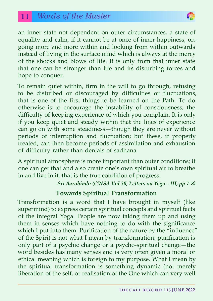### 11 *Words of the Master*



an inner state not dependent on outer circumstances, a state of equality and calm, if it cannot be at once of inner happiness, ongoing more and more within and looking from within outwards instead of living in the surface mind which is always at the mercy of the shocks and blows of life. It is only from that inner state that one can be stronger than life and its disturbing forces and hope to conquer.

To remain quiet within, firm in the will to go through, refusing to be disturbed or discouraged by difficulties or fluctuations, that is one of the first things to be learned on the Path. To do otherwise is to encourage the instability of consciousness, the difficulty of keeping experience of which you complain. It is only if you keep quiet and steady within that the lines of experience can go on with some steadiness—though they are never without periods of interruption and fluctuation; but these, if properly treated, can then become periods of assimilation and exhaustion of difficulty rather than denials of sadhana.

A spiritual atmosphere is more important than outer conditions; if one can get that and also create one's own spiritual air to breathe in and live in it, that is the true condition of progress.

*-Sri Aurobindo (CWSA Vol 30, Letters on Yoga - III, pp 7-8)*

#### **Towards Spiritual Transformation**

Transformation is a word that I have brought in myself (like supermind) to express certain spiritual concepts and spiritual facts of the integral Yoga. People are now taking them up and using them in senses which have nothing to do with the significance which I put into them. Purification of the nature by the "influence" of the Spirit is not what I mean by transformation; purification is only part of a psychic change or a psycho-spiritual change—the word besides has many senses and is very often given a moral or ethical meaning which is foreign to my purpose. What I mean by the spiritual transformation is something dynamic (not merely liberation of the self, or realisation of the One which can very well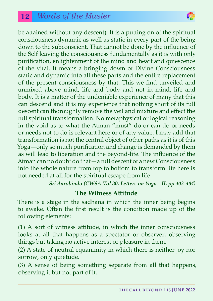

be attained without any descent). It is a putting on of the spiritual consciousness dynamic as well as static in every part of the being down to the subconscient. That cannot be done by the influence of the Self leaving the consciousness fundamentally as it is with only purification, enlightenment of the mind and heart and quiescence of the vital. It means a bringing down of Divine Consciousness static and dynamic into all these parts and the entire replacement of the present consciousness by that. This we find unveiled and unmixed above mind, life and body and not in mind, life and body. It is a matter of the undeniable experience of many that this can descend and it is my experience that nothing short of its full descent can thoroughly remove the veil and mixture and effect the full spiritual transformation. No metaphysical or logical reasoning in the void as to what the Atman "must" do or can do or needs or needs not to do is relevant here or of any value. I may add that transformation is not the central object of other paths as it is of this Yoga—only so much purification and change is demanded by them as will lead to liberation and the beyond-life. The influence of the Atman can no doubt do that—a full descent of a new Consciousness into the whole nature from top to bottom to transform life here is not needed at all for the spiritual escape from life.

*-Sri Aurobindo (CWSA Vol 30, Letters on Yoga - II, pp 403-404)*

#### **The Witness Attitude**

There is a stage in the sadhana in which the inner being begins to awake. Often the first result is the condition made up of the following elements:

(1) A sort of witness attitude, in which the inner consciousness looks at all that happens as a spectator or observer, observing things but taking no active interest or pleasure in them.

(2) A state of neutral equanimity in which there is neither joy nor sorrow, only quietude.

(3) A sense of being something separate from all that happens, observing it but not part of it.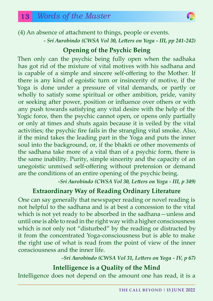

(4) An absence of attachment to things, people or events. *- Sri Aurobindo (CWSA Vol 30, Letters on Yoga - III, pp 241-242)*

#### **opening of the Psychic Being**

Then only can the psychic being fully open when the sadhaka has got rid of the mixture of vital motives with his sadhana and is capable of a simple and sincere self-offering to the Mother. If there is any kind of egoistic turn or insincerity of motive, if the Yoga is done under a pressure of vital demands, or partly or wholly to satisfy some spiritual or other ambition, pride, vanity or seeking after power, position or influence over others or with any push towards satisfying any vital desire with the help of the Yogic force, then the psychic cannot open, or opens only partially or only at times and shuts again because it is veiled by the vital activities; the psychic fire fails in the strangling vital smoke. Also, if the mind takes the leading part in the Yoga and puts the inner soul into the background, or, if the bhakti or other movements of the sadhana take more of a vital than of a psychic form, there is the same inability. Purity, simple sincerity and the capacity of an unegoistic unmixed self-offering without pretension or demand are the conditions of an entire opening of the psychic being.

*-Sri Aurobindo (CWSA Vol 30, Letters on Yoga - III, p 349)*

#### **Extraordinary Way of Reading Ordinary Literature**

One can say generally that newspaper reading or novel reading is not helpful to the sadhana and is at best a concession to the vital which is not yet ready to be absorbed in the sadhana—unless and until one is able to read in the right way with a higher consciousness which is not only not "disturbed" by the reading or distracted by it from the concentrated Yoga-consciousness but is able to make the right use of what is read from the point of view of the inner consciousness and the inner life.

*-Sri Aurobindo (CWSA Vol 31, Letters on Yoga - IV, p 67)*

#### **Intelligence is a Quality of the Mind**

Intelligence does not depend on the amount one has read, it is a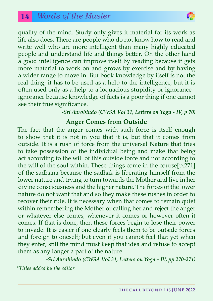

quality of the mind. Study only gives it material for its work as life also does. There are people who do not know how to read and write well who are more intelligent than many highly educated people and understand life and things better. On the other hand a good intelligence can improve itself by reading because it gets more material to work on and grows by exercise and by having a wider range to move in. But book knowledge by itself is not the real thing; it has to be used as a help to the intelligence, but it is often used only as a help to a loquacious stupidity or ignorance ignorance because knowledge of facts is a poor thing if one cannot see their true significance.

#### *-Sri Aurobindo (CWSA Vol 31, Letters on Yoga - IV, p 70)*

#### **Anger Comes from Outside**

The fact that the anger comes with such force is itself enough to show that it is not in you that it is, but that it comes from outside. It is a rush of force from the universal Nature that tries to take possession of the individual being and make that being act according to the will of this outside force and not according to the will of the soul within. These things come in the course[p.271] of the sadhana because the sadhak is liberating himself from the lower nature and trying to turn towards the Mother and live in her divine consciousness and the higher nature. The forces of the lower nature do not want that and so they make these rushes in order to recover their rule. It is necessary when that comes to remain quiet within remembering the Mother or calling her and reject the anger or whatever else comes, whenever it comes or however often it comes. If that is done, then these forces begin to lose their power to invade. It is easier if one clearly feels them to be outside forces and foreign to oneself; but even if you cannot feel that yet when they enter, still the mind must keep that idea and refuse to accept them as any longer a part of the nature.

*-Sri Aurobindo (CWSA Vol 31, Letters on Yoga - IV, pp 270-271)*

*\*Titles added by the editor*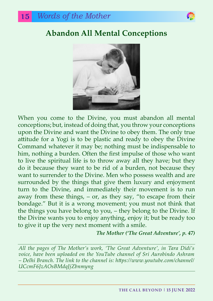

# **abandon all Mental Conceptions**



When you come to the Divine, you must abandon all mental conceptions; but, instead of doing that, you throw your conceptions upon the Divine and want the Divine to obey them. The only true attitude for a Yogi is to be plastic and ready to obey the Divine Command whatever it may be; nothing must be indispensable to him, nothing a burden. Often the first impulse of those who want to live the spiritual life is to throw away all they have; but they do it because they want to be rid of a burden, not because they want to surrender to the Divine. Men who possess wealth and are surrounded by the things that give them luxury and enjoyment turn to the Divine, and immediately their movement is to run away from these things, – or, as they say, "to escape from their bondage." But it is a wrong movement; you must not think that the things you have belong to you, – they belong to the Divine. If the Divine wants you to enjoy anything, enjoy it; but be ready too to give it up the very next moment with a smile.

*The Mother ('The Great Adventure', p. 47)*

*All the pages of The Mother's work, 'The Great Adventure', in Tara Didi's voice, have been uploaded on the YouTube channel of Sri Aurobindo Ashram – Delhi Branch. The link to the channel is: https://www.youtube.com/channel/ UCcmF6JzAOsBMdqJjZbnmyng*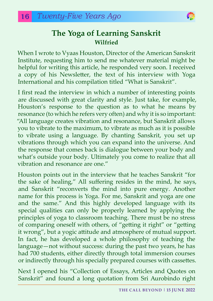

### **The yoga of learning Sanskrit Wilfried**

When I wrote to Vyaas Houston, Director of the American Sanskrit Institute, requesting him to send me whatever material might be helpful for writing this article, he responded very soon. I received a copy of his Newsletter, the text of his interview with Yoga International and his compilation titled "What is Sanskrit".

I first read the interview in which a number of interesting points are discussed with great clarity and style. Just take, for example, Houston's response to the question as to what he means by resonance (to which he refers very often) and why it is so important: "All language creates vibration and resonance, but Sanskrit allows you to vibrate to the maximum, to vibrate as much as it is possible to vibrate using a language. By chanting Sanskrit, you set up vibrations through which you can expand into the universe. And the response that comes back is dialogue between your body and what's outside your body. Ultimately you come to realize that all vibration and resonance are one."

Houston points out in the interview that he teaches Sanskrit "for the sake of healing," All suffering resides in the mind, he says, and Sanskrit "reconverts the mind into pure energy. Another name for this process is Yoga. For me, Sanskrit and yoga are one and the same." And this highly developed language with its special qualities can only be properly learned by applying the principles of yoga to classroom teaching. There must be no stress of comparing oneself with others, of "getting it right" or "getting it wrong", but a yogic attitude and atmosphere of mutual support. In fact, he has developed a whole philosophy of teaching the language—not without success: during the past two years, he has had 700 students, either directly through total immersion courses or indirectly through his specially prepared courses with cassettes.

Next I opened his "Collection of Essays, Articles and Quotes on Sanskrit" and found a long quotation from Sri Aurobindo right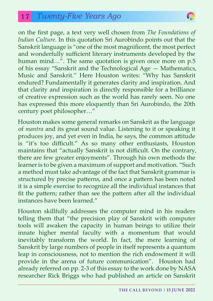# 17 *Twenty-Five Years Ago*



on the first page, a text very well chosen from *The Foundations of Indian Culture.* In this quotation Sri Aurobindo points out that the Sanskrit language is "one of the most magnificent, the most perfect and wonderfully sufficient literary instruments developed by the human mind...". The same quotation is given once more on p.5 of his essay "Sanskrit and the Technological Age — Mathematics, Music and Sanskrit." Here Houston writes: "Why has Sanskrit endured? Fundamentally it generates clarity and inspiration. And that clarity and inspiration is directly responsible for a brilliance of creative expression such as the world has rarely seen. No one has expressed this more eloquently than Sri Aurobindo, the 20th century poet philosopher…"

Houston makes some general remarks on Sanskrit as the language of *mantra* and its great sound value. Listening to it or speaking it produces joy, and yet even in India, he says, the common attitude is "it's too difficult." As so many other enthusiasts, Houston maintains that "actually Sanskrit is not difficult. On the contrary, there are few greater enjoyments". Through his own methods the learner is to be given a maximum of support and motivation. "Such a method must take advantage of the fact that Sanskrit grammar is structured by precise patterns, and once a pattern has been noted it is a simple exercise to recognize all the individual instances that fit the pattern; rather than see the pattern after all the individual instances have been learned."

Houston skillfully addresses the computer mind in his readers telling them that "the precision play of Sanskrit with computer tools will awaken the capacity in human beings to utilize their innate higher mental faculty with a momentum that would inevitably transform the world. In fact, the mere learning of Sanskrit by large numbers of people in itself represents a quantum leap in consciousness, not to mention the rich endowment it will provide in the arena of future communication". Houston had already referred on pp. 2-3 of this essay to the work done by NASA researcher Rick Briggs who had published an article on Sanskrit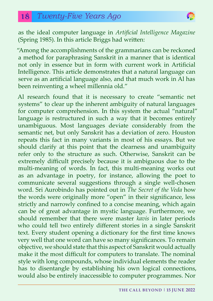### 18 *Twenty-Five Years Ago*



as the ideal computer language in *Artificial Intelligence Magazine*  (Spring 1985). In this article Briggs had written:

"Among the accomplishments of the grammarians can be reckoned a method for paraphrasing Sanskrit in a manner that is identical not only in essence but in form with current work in Artificial Intelligence. This article demonstrates that a natural language can serve as an artificial language also, and that much work in Al has been reinventing a wheel millennia old."

Al research found that it is necessary to create "semantic net systems" to clear up the inherent ambiguity of natural languages for computer comprehension. In this system the actual "natural" language is restructured in such a way that it becomes entirely unambiguous. Most languages deviate considerably from the semantic net, but only Sanskrit has a deviation of zero. Houston repeats this fact in many variants in most of his essays. But we should clarify at this point that the clearness and unambiguity refer only to the structure as such. Otherwise, Sanskrit can be extremely difficult precisely because it is ambiguous due to the multi-meaning of words. In fact, this multi-meaning works out as an advantage in poetry, for instance, allowing the poet to communicate several suggestions through a single well-chosen word. Sri Aurobindo has pointed out in *The Secret of the Veda* how the words were originally more "open" in their significance, less strictly and narrowly confined to a concise meaning, which again can be of great advantage in mystic language. Furthermore, we should remember that there were master *kavis* in later periods who could tell two entirely different stories in a single Sanskrit text. Every student opening a dictionary for the first time knows very well that one word can have so many significances. To remain objective, we should state that this aspect of Sanskrit would actually make it the most difficult for computers to translate. The nominal style with long compounds, whose individual elements the reader has to disentangle by establishing his own logical connections, would also be entirely inaccessible to computer programmes. Nor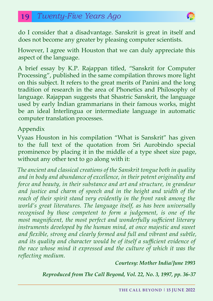

do I consider that a disadvantage. Sanskrit is great in itself and does not become any greater by pleasing computer scientists.

However, I agree with Houston that we can duly appreciate this aspect of the language.

A brief essay by K.P. Rajappan titled, "Sanskrit for Computer Processing", published in the same compilation throws more light on this subject. It refers to the great merits of Panini and the long tradition of research in the area of Phonetics and Philosophy of language. Rajappan suggests that Shastric Sanskrit, the language used by early Indian grammarians in their famous works, might be an ideal Interlingua or intermediate language in automatic computer translation processes.

#### Appendix

Vyaas Houston in his compilation "What is Sanskrit" has given to the full text of the quotation from Sri Aurobindo special prominence by placing it in the middle of a type sheet size page, without any other text to go along with it:

*The ancient and classical creations of the Sanskrit tongue both in quality and in body and abundance of excellence, in their potent originality and force and beauty, in their substance and art and structure, in grandeur and justice and charm of speech and in the height and width of the reach of their spirit stand very evidently in the front rank among the world's great literatures. The language itself, as has been universally recognised by those competent to form a judgement, is one of the most magnificent, the most perfect and wonderfully sufficient literary instruments developed by the human mind, at once majestic and sweet and flexible, strong and clearly formed and full and vibrant and subtle, and its quality and character would be of itself a sufficient evidence of the race whose mind it expressed and the culture of which it was the reflecting medium.*

#### *Courtesy: Mother India/June 1993*

*Reproduced from The Call Beyond, Vol. 22, No. 3, 1997, pp. 36-37*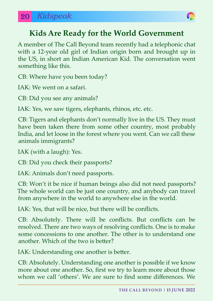

# **Kids are Ready for the World Government**

A member of The Call Beyond team recently had a telephonic chat with a 12-year old girl of Indian origin born and brought up in the US, in short an Indian American Kid. The conversation went something like this.

CB: Where have you been today?

IAK: We went on a safari.

CB: Did you see any animals?

IAK: Yes, we saw tigers, elephants, rhinos, etc. etc.

CB: Tigers and elephants don't normally live in the US. They must have been taken there from some other country, most probably India, and let loose in the forest where you went. Can we call these animals immigrants?

IAK (with a laugh): Yes.

CB: Did you check their passports?

IAK: Animals don't need passports.

CB: Won't it be nice if human beings also did not need passports? The whole world can be just one country, and anybody can travel from anywhere in the world to anywhere else in the world.

IAK: Yes, that will be nice, but there will be conflicts.

CB: Absolutely. There will be conflicts. But conflicts can be resolved. There are two ways of resolving conflicts. One is to make some concessions to one another. The other is to understand one another. Which of the two is better?

IAK: Understanding one another is better.

CB: Absolutely. Understanding one another is possible if we know more about one another. So, first we try to learn more about those whom we call 'others'. We are sure to find some differences. We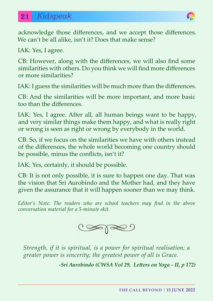# 21 *Kidspeak*



acknowledge those differences, and we accept those differences. We can't be all alike, isn't it? Does that make sense?

IAK: Yes, I agree.

CB: However, along with the differences, we will also find some similarities with others. Do you think we will find more differences or more similarities?

IAK: I guess the similarities will be much more than the differences.

CB: And the similarities will be more important, and more basic too than the differences.

IAK: Yes, I agree. After all, all human beings want to be happy, and very similar things make them happy, and what is really right or wrong is seen as right or wrong by everybody in the world.

CB: So, if we focus on the similarities we have with others instead of the differences, the whole world becoming one country should be possible, minus the conflicts, isn't it?

IAK: Yes, certainly, it should be possible.

CB: It is not only possible, it is sure to happen one day. That was the vision that Sri Aurobindo and the Mother had, and they have given the assurance that it will happen sooner than we may think.

*Editor's Note: The readers who are school teachers may find in the above conversation material for a 5-minute skit.*

 $\text{Cov}(\text{Cov})$ 

*Strength, if it is spiritual, is a power for spiritual realisation; a greater power is sincerity; the greatest power of all is Grace.*

*-Sri Aurobindo (CWSA Vol 29, Letters on Yoga - II, p 172)*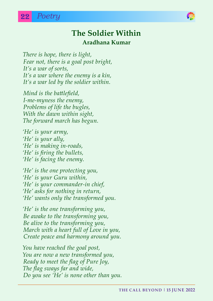

### **The Soldier Within aradhana Kumar**

*There is hope, there is light, Fear not, there is a goal post bright, It's a war of sorts, It's a war where the enemy is a kin, It's a war led by the soldier within.*

*Mind is the battlefield, I-me-myness the enemy, Problems of life the bugles, With the dawn within sight, The forward march has begun.*

*'He' is your army, 'He' is your ally, 'He' is making in-roads, 'He' is firing the bullets, 'He' is facing the enemy.*

*'He' is the one protecting you, 'He' is your Guru within, 'He' is your commander-in chief, 'He' asks for nothing in return, 'He' wants only the transformed you.*

*'He' is the one transforming you, Be awake to the transforming you, Be alive to the transforming you, March with a heart full of Love in you, Create peace and harmony around you.*

*You have reached the goal post, You are now a new transformed you, Ready to meet the flag of Pure Joy, The flag sways far and wide, Do you see 'He' is none other than you.*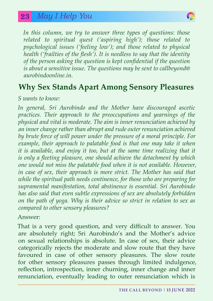### 23 *May I Help You*



*In this column, we try to answer three types of questions: those related to spiritual quest ('aspiring high'); those related to psychological issues ('feeling low'); and those related to physical health ('frailties of the flesh'). It is needless to say that the identity of the person asking the question is kept confidential if the question is about a sensitive issue. The questions may be sent to callbeyond@ aurobindoonline.in.*

# **Why Sex Stands Apart Among Sensory Pleasures**

*S wants to know:*

*In general, Sri Aurobindo and the Mother have discouraged ascetic practices. Their approach to the preoccupations and yearnings of the physical and vital is moderate. The aim is inner renunciation achieved by an inner change rather than abrupt and rude outer renunciation achieved by brute force of will power under the pressure of a moral principle. For example, their approach to palatable food is that one may take it when* it is available, and enjoy it too, but at the same time realizing that it *is only a fleeting pleasure, one should achieve the detachment by which one would not miss the palatable food when it is not available. However,*  in case of sex, their approach is more strict. The Mother has said that *while the spiritual path needs continence, for those who are preparing for supramental manifestation, total abstinence is essential. Sri Aurobindo has also said that even subtle expressions of sex are absolutely forbidden on the path of yoga. Why is their advice so strict in relation to sex as compared to other sensory pleasures?*

Answer:

That is a very good question, and very difficult to answer. You are absolutely right; Sri Aurobindo's and the Mother's advice on sexual relationships is absolute. In case of sex, their advice categorically rejects the moderate and slow route that they have favoured in case of other sensory pleasures. The slow route for other sensory pleasures passes through limited indulgence, reflection, introspection, inner churning, inner change and inner renunciation, eventually leading to outer renunciation which is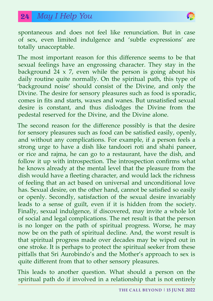### 24 *May I Help You*



spontaneous and does not feel like renunciation. But in case of sex, even limited indulgence and 'subtle expressions' are totally unacceptable.

The most important reason for this difference seems to be that sexual feelings have an engrossing character. They stay in the background 24 x 7, even while the person is going about his daily routine quite normally. On the spiritual path, this type of 'background noise' should consist of the Divine, and only the Divine. The desire for sensory pleasures such as food is sporadic, comes in fits and starts, waxes and wanes. But unsatisfied sexual desire is constant, and thus dislodges the Divine from the pedestal reserved for the Divine, and the Divine alone.

The second reason for the difference possibly is that the desire for sensory pleasures such as food can be satisfied easily, openly, and without any complications. For example, if a person feels a strong urge to have a dish like tandoori roti and shahi paneer, or rice and rajma, he can go to a restaurant, have the dish, and follow it up with introspection. The introspection confirms what he knows already at the mental level that the pleasure from the dish would have a fleeting character, and would lack the richness of feeling that an act based on universal and unconditional love has. Sexual desire, on the other hand, cannot be satisfied so easily or openly. Secondly, satisfaction of the sexual desire invariably leads to a sense of guilt, even if it is hidden from the society. Finally, sexual indulgence, if discovered, may invite a whole lot of social and legal complications. The net result is that the person is no longer on the path of spiritual progress. Worse, he may now be on the path of spiritual decline. And, the worst result is that spiritual progress made over decades may be wiped out in one stroke. It is perhaps to protect the spiritual seeker from these pitfalls that Sri Aurobindo's and the Mother's approach to sex is quite different from that to other sensory pleasures.

This leads to another question. What should a person on the spiritual path do if involved in a relationship that is not entirely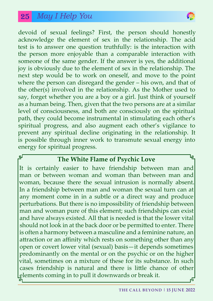### 25 *May I Help You*

டி



ľр

devoid of sexual feelings? First, the person should honestly acknowledge the element of sex in the relationship. The acid test is to answer one question truthfully: is the interaction with the person more enjoyable than a comparable interaction with someone of the same gender. If the answer is yes, the additional joy is obviously due to the element of sex in the relationship. The next step would be to work on oneself, and move to the point where the person can disregard the gender – his own, and that of the other(s) involved in the relationship. As the Mother used to say, forget whether you are a boy or a girl. Just think of yourself as a human being. Then, given that the two persons are at a similar level of consciousness, and both are consciously on the spiritual path, they could become instrumental in stimulating each other's spiritual progress, and also augment each other's vigilance to prevent any spiritual decline originating in the relationship. It is possible through inner work to transmute sexual energy into energy for spiritual progress.

#### **The White Flame of Psychic love**

It is certainly easier to have friendship between man and man or between woman and woman than between man and woman, because there the sexual intrusion is normally absent. In a friendship between man and woman the sexual turn can at any moment come in in a subtle or a direct way and produce perturbations. But there is no impossibility of friendship between man and woman pure of this element; such friendships can exist and have always existed. All that is needed is that the lower vital should not look in at the back door or be permitted to enter. There is often a harmony between a masculine and a feminine nature, an attraction or an affinity which rests on something other than any open or covert lower vital (sexual) basis—it depends sometimes predominantly on the mental or on the psychic or on the higher vital, sometimes on a mixture of these for its substance. In such cases friendship is natural and there is little chance of other elements coming in to pull it downwards or break it.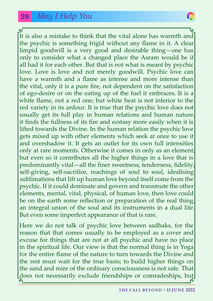

டி It is also a mistake to think that the vital alone has warmth and the psychic is something frigid without any flame in it. A clear limpid goodwill is a very good and desirable thing—one has only to consider what a changed place the Asram would be if all had it for each other. But that is not what is meant by psychic love. Love is love and not merely goodwill. Psychic love can have a warmth and a flame as intense and more intense than the vital, only it is a pure fire, not dependent on the satisfaction of ego-desire or on the eating up of the fuel it embraces. It is a white flame, not a red one; but white heat is not inferior to the red variety in its ardour. It is true that the psychic love does not usually get its full play in human relations and human nature, it finds the fullness of its fire and ecstasy more easily when it is lifted towards the Divine. In the human relation the psychic love gets mixed up with other elements which seek at once to use it and overshadow it. It gets an outlet for its own full intensities only at rare moments. Otherwise it comes in only as an element, but even so it contributes all the higher things in a love that is predominantly vital—all the finer sweetness, tenderness, fidelity, self-giving, self-sacrifice, reachings of soul to soul, idealising sublimations that lift up human love beyond itself come from the psychic. If it could dominate and govern and transmute the other elements, mental, vital, physical, of human love, then love could be on the earth some reflection or preparation of the real thing, an integral union of the soul and its instruments in a dual life. But even some imperfect appearance of that is rare.

Here we do not talk of psychic love between sadhaks, for the reason that that comes usually to be employed as a cover and excuse for things that are not at all psychic and have no place in the spiritual life. Our view is that the normal thing is in Yoga for the entire flame of the nature to turn towards the Divine and the rest must wait for the true basis; to build higher things on the sand and mire of the ordinary consciousness is not safe. That does not necessarily exclude friendships or comradeships, but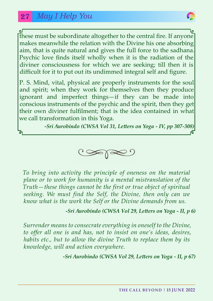

these must be subordinate altogether to the central fire. If anyone makes meanwhile the relation with the Divine his one absorbing aim, that is quite natural and gives the full force to the sadhana. Psychic love finds itself wholly when it is the radiation of the diviner consciousness for which we are seeking; till then it is difficult for it to put out its undimmed integral self and figure.

P. S. Mind, vital, physical are properly instruments for the soul and spirit; when they work for themselves then they produce ignorant and imperfect things—if they can be made into conscious instruments of the psychic and the spirit, then they get their own diviner fulfilment; that is the idea contained in what we call transformation in this Yoga.

*-Sri Aurobindo (CWSA Vol 31, Letters on Yoga - IV, pp 307-308)*



*To bring into activity the principle of oneness on the material plane or to work for humanity is a mental mistranslation of the Truth—these things cannot be the first or true object of spiritual seeking. We must find the Self, the Divine, then only can we know what is the work the Self or the Divine demands from us.*

*-Sri Aurobindo (CWSA Vol 29, Letters on Yoga - II, p 6)*

*Surrender means to consecrate everything in oneself to the Divine, to offer all one is and has, not to insist on one's ideas, desires, habits etc., but to allow the divine Truth to replace them by its knowledge, will and action everywhere.*

*-Sri Aurobindo (CWSA Vol 29, Letters on Yoga - II, p 67)*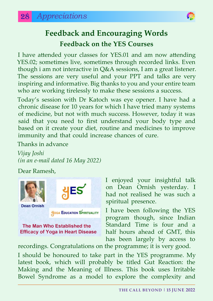

# **Feedback and Encouraging Words Feedback on the YES Courses**

I have attended your classes for YES.01 and am now attending YES.02; sometimes live, sometimes through recorded links. Even though i am not interactive in Q&A sessions, I am a great listener. The sessions are very useful and your PPT and talks are very inspiring and informative. Big thanks to you and your entire team who are working tirelessly to make these sessions a success.

Today's session with Dr Katoch was eye opener. I have had a chronic disease for 10 years for which I have tried many systems of medicine, but not with much success. However, today it was said that you need to first understand your body type and based on it create your diet, routine and medicines to improve immunity and that could increase chances of cure.

Thanks in advance

*Vijay Joshi (in an e-mail dated 16 May 2022)*

Dear Ramesh,



The Man Who Established the **Efficacy of Yoga in Heart Disease**  I enjoyed your insightful talk on Dean Ornish yesterday. I had not realised he was such a spiritual presence.

I have been following the YES program though, since Indian Standard Time is four and a half hours ahead of GMT, this has been largely by access to

recordings. Congratulations on the programme; it is very good.

I should be honoured to take part in the YES programme. My latest book, which will probably be titled Gut Reaction: the Making and the Meaning of Illness. This book uses Irritable Bowel Syndrome as a model to explore the complexity and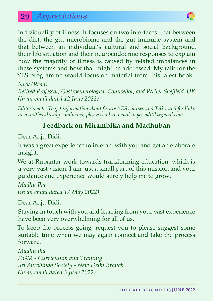# 29 *Appreciations*



individuality of illness. It focuses on two interfaces: that between the diet, the gut microbiome and the gut immune system and that between an individual's cultural and social background, their life situation and their neuroendocrine responses to explain how the majority of illness is caused by related imbalances in these systems and how that might be addressed. My talk for the YES programme would focus on material from this latest book.

*Nick (Read)*

*Retired Professor, Gastroenterologist, Counsellor, and Writer Sheffield, UK (in an email dated 12 June 2022)*

*Editor's note: To get information about future YES courses and Talks, and for links to activities already conducted, please send an email to yes.aditik@gmail.com*

#### **Feedback on Mirambika and Madhuban**

Dear Anju Didi,

It was a great experience to interact with you and get an elaborate insight.

We at Rupantar work towards transforming education, which is a very vast vision. I am just a small part of this mission and your guidance and experience would surely help me to grow.

*Madhu Jha (in an email dated 17 May 2022)*

Dear Anju Didi,

Staying in touch with you and learning from your vast experience have been very overwhelming for all of us.

To keep the process going, request you to please suggest some suitable time when we may again connect and take the process forward.

*Madhu Jha DGM - Curriculum and Training Sri Aurobindo Society - New Delhi Branch (in an email dated 3 June 2022)*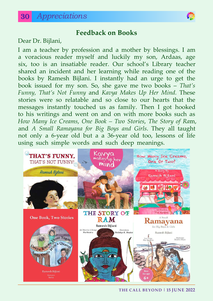

#### **Feedback on Books**

Dear Dr. Bijlani,

I am a teacher by profession and a mother by blessings. I am a voracious reader myself and luckily my son, Ardaas, age six, too is an insatiable reader. Our school's Library teacher shared an incident and her learning while reading one of the books by Ramesh Bijlani. I instantly had an urge to get the book issued for my son. So, she gave me two books – *That's Funny, That's Not Funny* and *Kavya Makes Up Her Mind.* These stories were so relatable and so close to our hearts that the messages instantly touched us as family. Then I got hooked to his writings and went on and on with more books such as *How Many Ice Creams*, *One Book – Two Stories*, *The Story of Ra*m, and *A Small Ramayana for Big Boys and Girls*. They all taught not only a 6-year old but a a 36-year old too, lessons of life using such simple words and such deep meanings.



**The Call Beyond | 15 JUne 2022**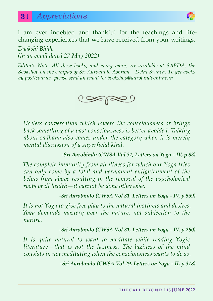### 31 *Appreciations*



I am ever indebted and thankful for the teachings and lifechanging experiences that we have received from your writings.

*Daakshi Bhide (in an email dated 27 May 2022)*

*Editor's Note: All these books, and many more, are available at SABDA, the Bookshop on the campus of Sri Aurobindo Ashram – Delhi Branch. To get books by post/courier, please send an email to: bookshop@aurobindoonline.in*



*Useless conversation which lowers the consciousness or brings back something of a past consciousness is better avoided. Talking about sadhana also comes under the category when it is merely mental discussion of a superficial kind.*

#### *-Sri Aurobindo (CWSA Vol 31, Letters on Yoga - IV, p 83)*

*The complete immunity from all illness for which our Yoga tries can only come by a total and permanent enlightenment of the below from above resulting in the removal of the psychological roots of ill health—it cannot be done otherwise.*

*-Sri Aurobindo (CWSA Vol 31, Letters on Yoga - IV, p 559)*

*It is not Yoga to give free play to the natural instincts and desires. Yoga demands mastery over the nature, not subjection to the nature.*

#### *-Sri Aurobindo (CWSA Vol 31, Letters on Yoga - IV, p 260)*

*It is quite natural to want to meditate while reading Yogic literature—that is not the laziness. The laziness of the mind consists in not meditating when the consciousness wants to do so.*

*-Sri Aurobindo (CWSA Vol 29, Letters on Yoga - II, p 318)*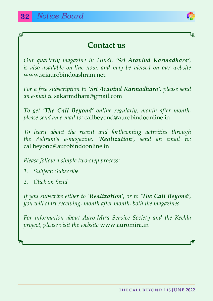டி



Ŀo

### **Contact us**

*Our quarterly magazine in Hindi, 'Sri Aravind Karmadhara', is also available on-line now, and may be viewed on our website*  www.sriaurobindoashram.net.

*For a free subscription to 'Sri Aravind Karmadhara', please send an e-mail to* sakarmdhara@gmail.com

*To get 'The Call Beyond' online regularly, month after month, please send an e-mail to:* callbeyond@aurobindoonline.in

*To learn about the recent and forthcoming activities through the Ashram's e-magazine, 'Realization', send an email to:* callbeyond@aurobindoonline.in

*Please follow a simple two-step process:*

*1. Subject: Subscribe*

*2. Click on Send*

*If you subscribe either to 'Realization', or to 'The Call Beyond', you will start receiving, month after month, both the magazines.*

*For information about Auro-Mira Service Society and the Kechla project, please visit the website* www.auromira.in